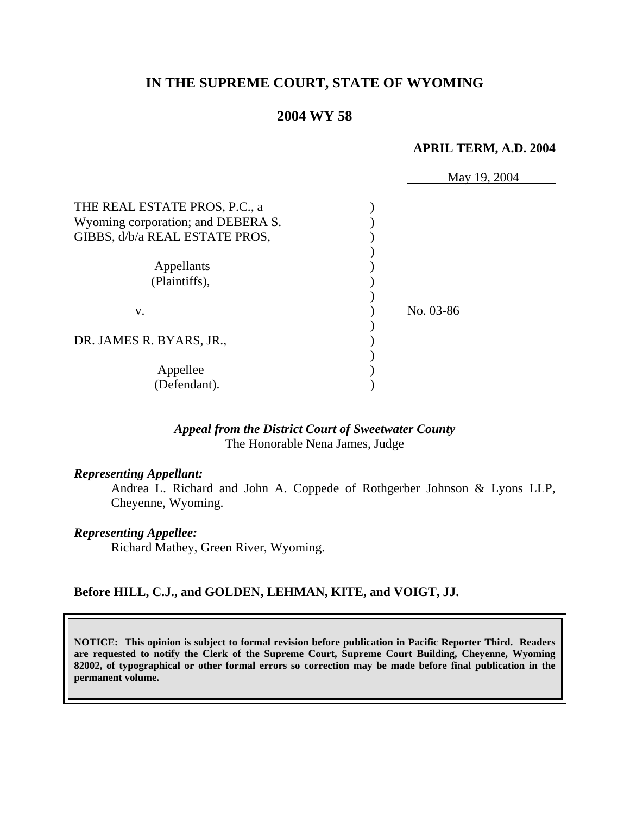# **IN THE SUPREME COURT, STATE OF WYOMING**

# **2004 WY 58**

#### **APRIL TERM, A.D. 2004**

|                                    | May 19, 2004 |
|------------------------------------|--------------|
| THE REAL ESTATE PROS, P.C., a      |              |
| Wyoming corporation; and DEBERA S. |              |
| GIBBS, d/b/a REAL ESTATE PROS,     |              |
|                                    |              |
| Appellants                         |              |
| (Plaintiffs),                      |              |
|                                    |              |
| V.                                 | No. 03-86    |
|                                    |              |
| DR. JAMES R. BYARS, JR.,           |              |
|                                    |              |
| Appellee                           |              |
| (Defendant).                       |              |

### *Appeal from the District Court of Sweetwater County* The Honorable Nena James, Judge

#### *Representing Appellant:*

Andrea L. Richard and John A. Coppede of Rothgerber Johnson & Lyons LLP, Cheyenne, Wyoming.

#### *Representing Appellee:*

Richard Mathey, Green River, Wyoming.

### **Before HILL, C.J., and GOLDEN, LEHMAN, KITE, and VOIGT, JJ.**

**NOTICE: This opinion is subject to formal revision before publication in Pacific Reporter Third. Readers are requested to notify the Clerk of the Supreme Court, Supreme Court Building, Cheyenne, Wyoming 82002, of typographical or other formal errors so correction may be made before final publication in the permanent volume.**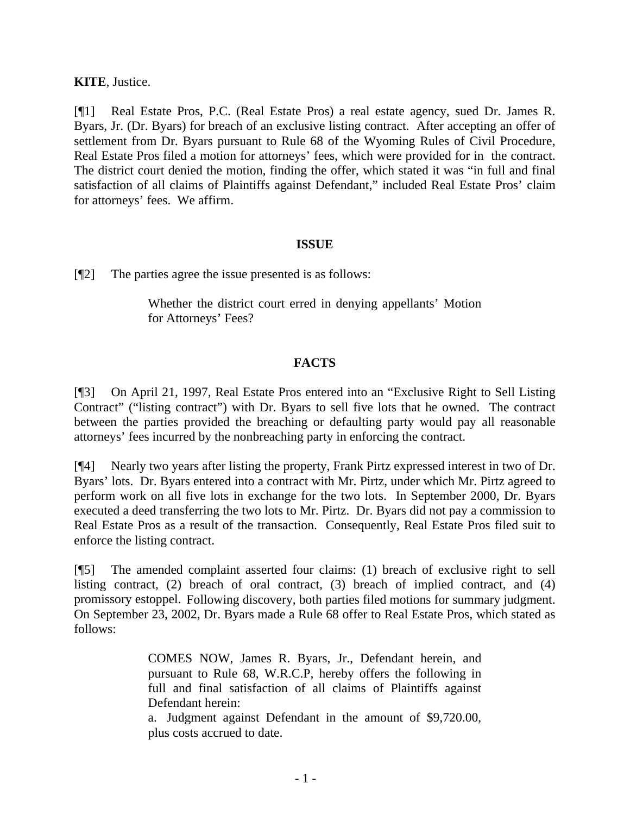**KITE**, Justice.

[¶1] Real Estate Pros, P.C. (Real Estate Pros) a real estate agency, sued Dr. James R. Byars, Jr. (Dr. Byars) for breach of an exclusive listing contract. After accepting an offer of settlement from Dr. Byars pursuant to Rule 68 of the Wyoming Rules of Civil Procedure, Real Estate Pros filed a motion for attorneys' fees, which were provided for in the contract. The district court denied the motion, finding the offer, which stated it was "in full and final satisfaction of all claims of Plaintiffs against Defendant," included Real Estate Pros' claim for attorneys' fees. We affirm.

## **ISSUE**

[¶2] The parties agree the issue presented is as follows:

Whether the district court erred in denying appellants' Motion for Attorneys' Fees?

## **FACTS**

[¶3] On April 21, 1997, Real Estate Pros entered into an "Exclusive Right to Sell Listing Contract" ("listing contract") with Dr. Byars to sell five lots that he owned. The contract between the parties provided the breaching or defaulting party would pay all reasonable attorneys' fees incurred by the nonbreaching party in enforcing the contract.

[¶4] Nearly two years after listing the property, Frank Pirtz expressed interest in two of Dr. Byars' lots. Dr. Byars entered into a contract with Mr. Pirtz, under which Mr. Pirtz agreed to perform work on all five lots in exchange for the two lots. In September 2000, Dr. Byars executed a deed transferring the two lots to Mr. Pirtz. Dr. Byars did not pay a commission to Real Estate Pros as a result of the transaction. Consequently, Real Estate Pros filed suit to enforce the listing contract.

[¶5] The amended complaint asserted four claims: (1) breach of exclusive right to sell listing contract, (2) breach of oral contract, (3) breach of implied contract, and (4) promissory estoppel. Following discovery, both parties filed motions for summary judgment. On September 23, 2002, Dr. Byars made a Rule 68 offer to Real Estate Pros, which stated as follows:

> COMES NOW, James R. Byars, Jr., Defendant herein, and pursuant to Rule 68, W.R.C.P, hereby offers the following in full and final satisfaction of all claims of Plaintiffs against Defendant herein:

> a. Judgment against Defendant in the amount of \$9,720.00, plus costs accrued to date.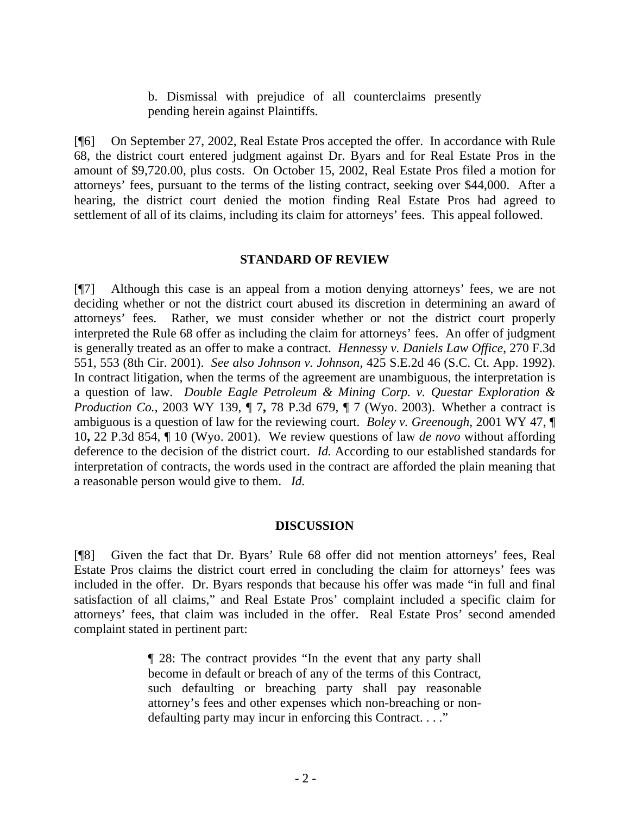b. Dismissal with prejudice of all counterclaims presently pending herein against Plaintiffs.

[¶6] On September 27, 2002, Real Estate Pros accepted the offer. In accordance with Rule 68, the district court entered judgment against Dr. Byars and for Real Estate Pros in the amount of \$9,720.00, plus costs. On October 15, 2002, Real Estate Pros filed a motion for attorneys' fees, pursuant to the terms of the listing contract, seeking over \$44,000. After a hearing, the district court denied the motion finding Real Estate Pros had agreed to settlement of all of its claims, including its claim for attorneys' fees. This appeal followed.

## **STANDARD OF REVIEW**

[¶7] Although this case is an appeal from a motion denying attorneys' fees, we are not deciding whether or not the district court abused its discretion in determining an award of attorneys' fees. Rather, we must consider whether or not the district court properly interpreted the Rule 68 offer as including the claim for attorneys' fees. An offer of judgment is generally treated as an offer to make a contract. *Hennessy v. Daniels Law Office*, 270 F.3d 551, 553 (8th Cir. 2001). *See also Johnson v. Johnson,* 425 S.E.2d 46 (S.C. Ct. App. 1992). In contract litigation, when the terms of the agreement are unambiguous, the interpretation is a question of law.*Double Eagle Petroleum & Mining Corp. v. Questar Exploration & Production Co.*, 2003 WY 139, ¶ 7**,** 78 P.3d 679, ¶ 7 (Wyo. 2003).Whether a contract is ambiguous is a question of law for the reviewing court. *Boley v. Greenough*, 2001 WY 47, ¶ 10**,** 22 P.3d 854, ¶ 10 (Wyo. 2001). We review questions of law *de novo* without affording deference to the decision of the district court. *Id.* According to our established standards for interpretation of contracts, the words used in the contract are afforded the plain meaning that a reasonable person would give to them. *Id.* 

### **DISCUSSION**

[¶8] Given the fact that Dr. Byars' Rule 68 offer did not mention attorneys' fees, Real Estate Pros claims the district court erred in concluding the claim for attorneys' fees was included in the offer. Dr. Byars responds that because his offer was made "in full and final satisfaction of all claims," and Real Estate Pros' complaint included a specific claim for attorneys' fees, that claim was included in the offer. Real Estate Pros' second amended complaint stated in pertinent part:

> ¶ 28: The contract provides "In the event that any party shall become in default or breach of any of the terms of this Contract, such defaulting or breaching party shall pay reasonable attorney's fees and other expenses which non-breaching or nondefaulting party may incur in enforcing this Contract. . . ."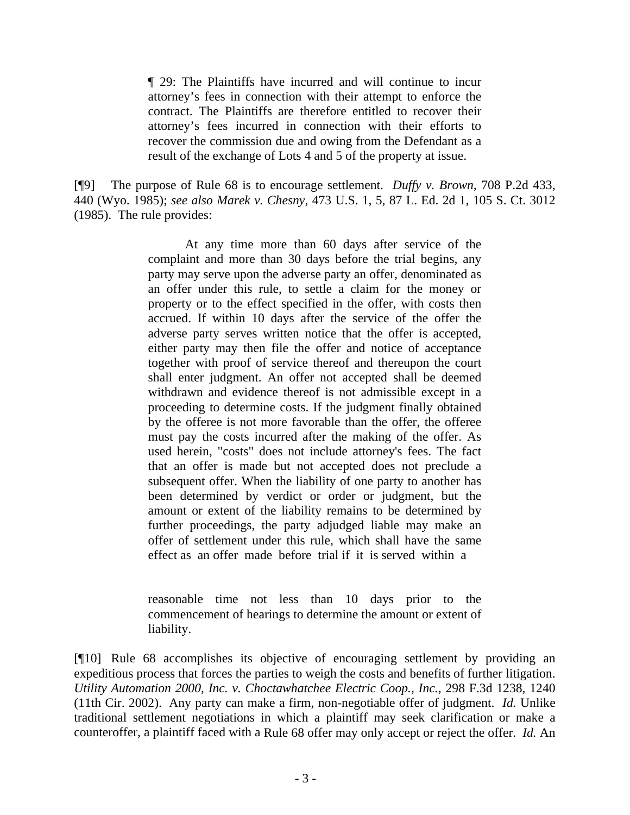¶ 29: The Plaintiffs have incurred and will continue to incur attorney's fees in connection with their attempt to enforce the contract. The Plaintiffs are therefore entitled to recover their attorney's fees incurred in connection with their efforts to recover the commission due and owing from the Defendant as a result of the exchange of Lots 4 and 5 of the property at issue.

[¶9] The purpose of Rule 68 is to encourage settlement. *Duffy v. Brown,* 708 P.2d 433, 440 (Wyo. 1985); *see also Marek v. Chesny*, 473 U.S. 1, 5, 87 L. Ed. 2d 1, 105 S. Ct. 3012 (1985). The rule provides:

> At any time more than 60 days after service of the complaint and more than 30 days before the trial begins, any party may serve upon the adverse party an offer, denominated as an offer under this rule, to settle a claim for the money or property or to the effect specified in the offer, with costs then accrued. If within 10 days after the service of the offer the adverse party serves written notice that the offer is accepted, either party may then file the offer and notice of acceptance together with proof of service thereof and thereupon the court shall enter judgment. An offer not accepted shall be deemed withdrawn and evidence thereof is not admissible except in a proceeding to determine costs. If the judgment finally obtained by the offeree is not more favorable than the offer, the offeree must pay the costs incurred after the making of the offer. As used herein, "costs" does not include attorney's fees. The fact that an offer is made but not accepted does not preclude a subsequent offer. When the liability of one party to another has been determined by verdict or order or judgment, but the amount or extent of the liability remains to be determined by further proceedings, the party adjudged liable may make an offer of settlement under this rule, which shall have the same effect as an offer made before trial if it is served within a

> reasonable time not less than 10 days prior to the commencement of hearings to determine the amount or extent of liability.

[¶10] Rule 68 accomplishes its objective of encouraging settlement by providing an expeditious process that forces the parties to weigh the costs and benefits of further litigation. *Utility Automation 2000, Inc. v. Choctawhatchee Electric Coop., Inc.*, 298 F.3d 1238, 1240 (11th Cir. 2002).Any party can make a firm, non-negotiable offer of judgment. *Id.* Unlike traditional settlement negotiations in which a plaintiff may seek clarification or make a counteroffer, a plaintiff faced with a Rule 68 offer may only accept or reject the offer. *Id.* An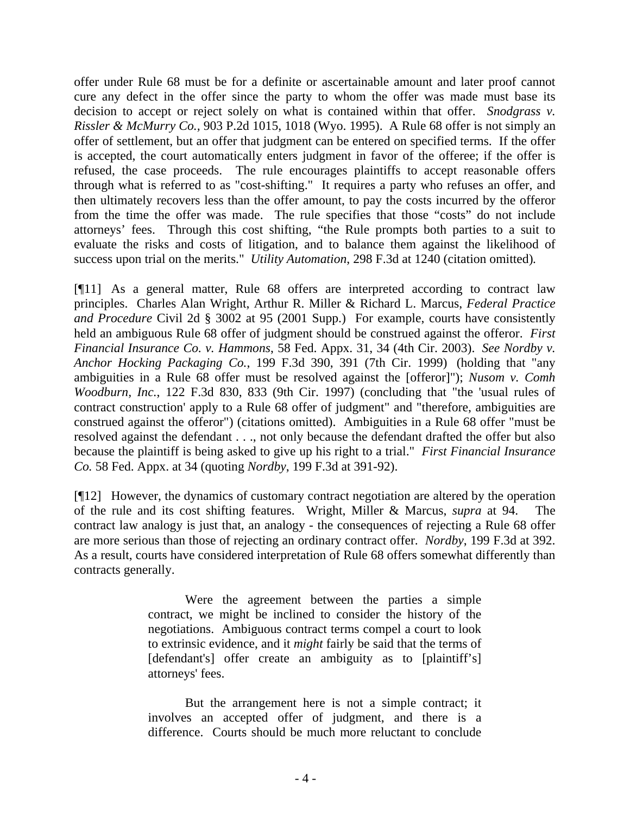offer under Rule 68 must be for a definite or ascertainable amount and later proof cannot cure any defect in the offer since the party to whom the offer was made must base its decision to accept or reject solely on what is contained within that offer. *Snodgrass v. Rissler & McMurry Co.,* 903 P.2d 1015, 1018 (Wyo. 1995). A Rule 68 offer is not simply an offer of settlement, but an offer that judgment can be entered on specified terms. If the offer is accepted, the court automatically enters judgment in favor of the offeree; if the offer is refused, the case proceeds. The rule encourages plaintiffs to accept reasonable offers through what is referred to as "cost-shifting." It requires a party who refuses an offer, and then ultimately recovers less than the offer amount, to pay the costs incurred by the offeror from the time the offer was made. The rule specifies that those "costs" do not include attorneys' fees. Through this cost shifting, "the Rule prompts both parties to a suit to evaluate the risks and costs of litigation, and to balance them against the likelihood of success upon trial on the merits." *Utility Automation*, 298 F.3d at 1240 (citation omitted)*.* 

[¶11] As a general matter, Rule 68 offers are interpreted according to contract law principles. Charles Alan Wright, Arthur R. Miller & Richard L. Marcus, *Federal Practice and Procedure* Civil 2d § 3002 at 95 (2001 Supp.) For example, courts have consistently held an ambiguous Rule 68 offer of judgment should be construed against the offeror. *First Financial Insurance Co. v. Hammons*, 58 Fed. Appx. 31, 34 (4th Cir. 2003). *See Nordby v. Anchor Hocking Packaging Co.*, 199 F.3d 390, 391 (7th Cir. 1999) (holding that "any ambiguities in a Rule 68 offer must be resolved against the [offeror]"); *Nusom v. Comh Woodburn, Inc.*, 122 F.3d 830, 833 (9th Cir. 1997) (concluding that "the 'usual rules of contract construction' apply to a Rule 68 offer of judgment" and "therefore, ambiguities are construed against the offeror") (citations omitted). Ambiguities in a Rule 68 offer "must be resolved against the defendant . . ., not only because the defendant drafted the offer but also because the plaintiff is being asked to give up his right to a trial." *First Financial Insurance Co.* 58 Fed. Appx. at 34 (quoting *Nordby*, 199 F.3d at 391-92).

[¶12] However, the dynamics of customary contract negotiation are altered by the operation of the rule and its cost shifting features. Wright, Miller & Marcus, *supra* at 94. The contract law analogy is just that, an analogy - the consequences of rejecting a Rule 68 offer are more serious than those of rejecting an ordinary contract offer. *Nordby*, 199 F.3d at 392. As a result, courts have considered interpretation of Rule 68 offers somewhat differently than contracts generally.

> Were the agreement between the parties a simple contract, we might be inclined to consider the history of the negotiations. Ambiguous contract terms compel a court to look to extrinsic evidence, and it *might* fairly be said that the terms of [defendant's] offer create an ambiguity as to [plaintiff's] attorneys' fees.

> But the arrangement here is not a simple contract; it involves an accepted offer of judgment, and there is a difference. Courts should be much more reluctant to conclude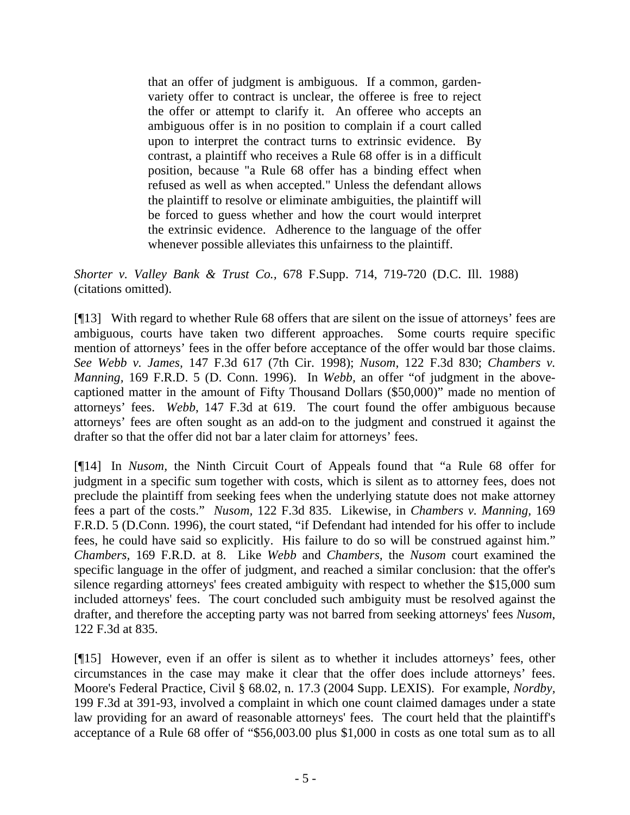that an offer of judgment is ambiguous. If a common, gardenvariety offer to contract is unclear, the offeree is free to reject the offer or attempt to clarify it. An offeree who accepts an ambiguous offer is in no position to complain if a court called upon to interpret the contract turns to extrinsic evidence. By contrast, a plaintiff who receives a Rule 68 offer is in a difficult position, because "a Rule 68 offer has a binding effect when refused as well as when accepted." Unless the defendant allows the plaintiff to resolve or eliminate ambiguities, the plaintiff will be forced to guess whether and how the court would interpret the extrinsic evidence. Adherence to the language of the offer whenever possible alleviates this unfairness to the plaintiff.

*Shorter v. Valley Bank & Trust Co.,* 678 F.Supp. 714, 719-720 (D.C. Ill. 1988) (citations omitted).

[¶13] With regard to whether Rule 68 offers that are silent on the issue of attorneys' fees are ambiguous, courts have taken two different approaches. Some courts require specific mention of attorneys' fees in the offer before acceptance of the offer would bar those claims. *See Webb v. James,* 147 F.3d 617 (7th Cir. 1998); *Nusom,* 122 F.3d 830; *Chambers v. Manning,* 169 F.R.D. 5 (D. Conn. 1996). In *Webb,* an offer "of judgment in the abovecaptioned matter in the amount of Fifty Thousand Dollars (\$50,000)" made no mention of attorneys' fees. *Webb*, 147 F.3d at 619. The court found the offer ambiguous because attorneys' fees are often sought as an add-on to the judgment and construed it against the drafter so that the offer did not bar a later claim for attorneys' fees.

[¶14] In *Nusom,* the Ninth Circuit Court of Appeals found that "a Rule 68 offer for judgment in a specific sum together with costs, which is silent as to attorney fees, does not preclude the plaintiff from seeking fees when the underlying statute does not make attorney fees a part of the costs." *Nusom,* 122 F.3d 835. Likewise, in *Chambers v. Manning,* 169 F.R.D. 5 (D.Conn. 1996), the court stated, "if Defendant had intended for his offer to include fees, he could have said so explicitly. His failure to do so will be construed against him." *Chambers,* 169 F.R.D. at 8. Like *Webb* and *Chambers,* the *Nusom* court examined the specific language in the offer of judgment, and reached a similar conclusion: that the offer's silence regarding attorneys' fees created ambiguity with respect to whether the \$15,000 sum included attorneys' fees. The court concluded such ambiguity must be resolved against the drafter, and therefore the accepting party was not barred from seeking attorneys' fees *Nusom*, 122 F.3d at 835.

[¶15] However, even if an offer is silent as to whether it includes attorneys' fees, other circumstances in the case may make it clear that the offer does include attorneys' fees. Moore's Federal Practice, Civil § 68.02, n. 17.3 (2004 Supp. LEXIS). For example, *Nordby,*  199 F.3d at 391-93, involved a complaint in which one count claimed damages under a state law providing for an award of reasonable attorneys' fees. The court held that the plaintiff's acceptance of a Rule 68 offer of "\$56,003.00 plus \$1,000 in costs as one total sum as to all